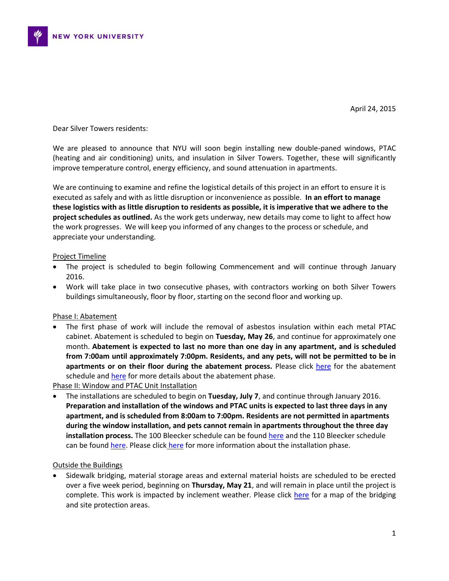

Dear Silver Towers residents:

We are pleased to announce that NYU will soon begin installing new double-paned windows, PTAC (heating and air conditioning) units, and insulation in Silver Towers. Together, these will significantly improve temperature control, energy efficiency, and sound attenuation in apartments.

We are continuing to examine and refine the logistical details of this project in an effort to ensure it is executed as safely and with as little disruption or inconvenience as possible. **In an effort to manage these logistics with as little disruption to residents as possible, it is imperative that we adhere to the project schedules as outlined.** As the work gets underway, new details may come to light to affect how the work progresses. We will keep you informed of any changes to the process or schedule, and appreciate your understanding.

## Project Timeline

- The project is scheduled to begin following Commencement and will continue through January 2016.
- Work will take place in two consecutive phases, with contractors working on both Silver Towers buildings simultaneously, floor by floor, starting on the second floor and working up.

## Phase I: Abatement

 The first phase of work will include the removal of asbestos insulation within each metal PTAC cabinet. Abatement is scheduled to begin on **Tuesday, May 26**, and continue for approximately one month. **Abatement is expected to last no more than one day in any apartment, and is scheduled from 7:00am until approximately 7:00pm. Residents, and any pets, will not be permitted to be in apartments or on their floor during the abatement process.** Please click [here](http://www.nyu.edu/content/dam/nyu/govCommunAffairs/images/nyu-in-nyc/construction/washington-square-village/ST%20PTAC%20Cabinet%20Abatement%20Schedule%20FORMATTED.pdf) for the abatement schedule an[d here](http://www.nyu.edu/community/nyu-in-nyc/construction/current-projects/silver-towers-window-and-ptac-replacements.html#abatementdetails) for more details about the abatement phase.

Phase II: Window and PTAC Unit Installation

 The installations are scheduled to begin on **Tuesday, July 7**, and continue through January 2016. **Preparation and installation of the windows and PTAC units is expected to last three days in any apartment, and is scheduled from 8:00am to 7:00pm. Residents are not permitted in apartments during the window installation, and pets cannot remain in apartments throughout the three day installation process.** The 100 Bleecker schedule can be found [here](http://www.nyu.edu/content/dam/nyu/govCommunAffairs/images/nyu-in-nyc/construction/washington-square-village/100%20Bleecker_Final%20Install%20Schedule.pdf) and the 110 Bleecker schedule can be found [here.](http://www.nyu.edu/content/dam/nyu/govCommunAffairs/images/nyu-in-nyc/construction/washington-square-village/110%20Bleecker_Final%20Install%20Schedule.pdf) Please click [here](http://www.nyu.edu/community/nyu-in-nyc/construction/current-projects/silver-towers-window-and-ptac-replacements.html#installationdetails) for more information about the installation phase.

## Outside the Buildings

 Sidewalk bridging, material storage areas and external material hoists are scheduled to be erected over a five week period, beginning on **Thursday, May 21**, and will remain in place until the project is complete. This work is impacted by inclement weather. Please click [here](http://www.nyu.edu/content/dam/nyu/govCommunAffairs/images/nyu-in-nyc/construction/washington-square-village/Silver%20Towers%20Site%20Plan%204-16-15-2.pdf) for a map of the bridging and site protection areas.